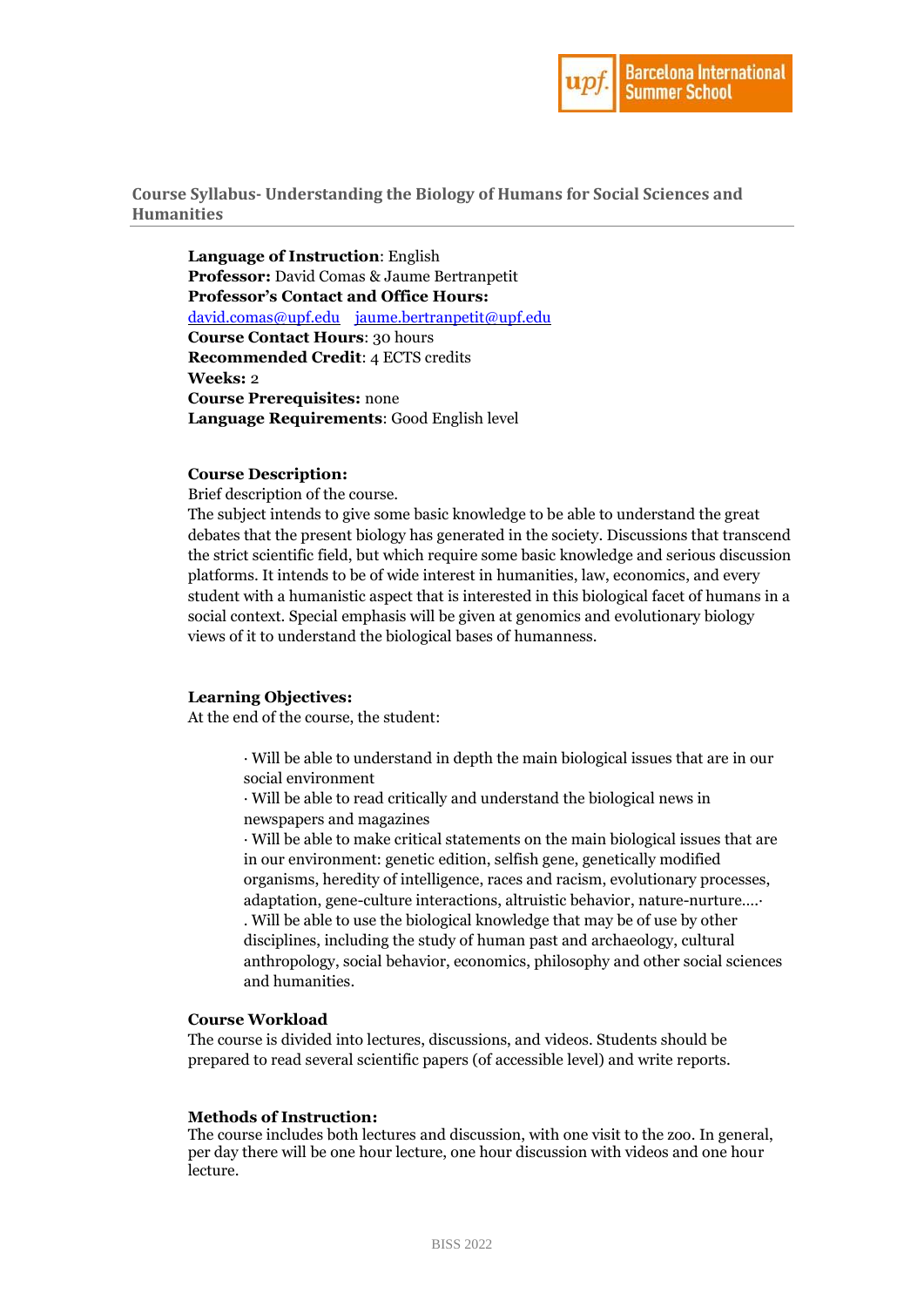

**Course Syllabus- Understanding the Biology of Humans for Social Sciences and Humanities**

**Language of Instruction**: English **Professor:** David Comas & Jaume Bertranpetit **Professor's Contact and Office Hours:** [david.comas@upf.edu](mailto:david.comas@upf.edu) [jaume.bertranpetit@upf.edu](mailto:jaume.bertranpetit@upf.edu) **Course Contact Hours**: 30 hours **Recommended Credit**: 4 ECTS credits **Weeks:** 2 **Course Prerequisites:** none **Language Requirements**: Good English level

### **Course Description:**

Brief description of the course.

The subject intends to give some basic knowledge to be able to understand the great debates that the present biology has generated in the society. Discussions that transcend the strict scientific field, but which require some basic knowledge and serious discussion platforms. It intends to be of wide interest in humanities, law, economics, and every student with a humanistic aspect that is interested in this biological facet of humans in a social context. Special emphasis will be given at genomics and evolutionary biology views of it to understand the biological bases of humanness.

# **Learning Objectives:**

At the end of the course, the student:

· Will be able to understand in depth the main biological issues that are in our social environment

· Will be able to read critically and understand the biological news in newspapers and magazines

· Will be able to make critical statements on the main biological issues that are in our environment: genetic edition, selfish gene, genetically modified organisms, heredity of intelligence, races and racism, evolutionary processes, adaptation, gene-culture interactions, altruistic behavior, nature-nurture….· . Will be able to use the biological knowledge that may be of use by other disciplines, including the study of human past and archaeology, cultural anthropology, social behavior, economics, philosophy and other social sciences and humanities.

# **Course Workload**

The course is divided into lectures, discussions, and videos. Students should be prepared to read several scientific papers (of accessible level) and write reports.

#### **Methods of Instruction:**

The course includes both lectures and discussion, with one visit to the zoo. In general, per day there will be one hour lecture, one hour discussion with videos and one hour lecture.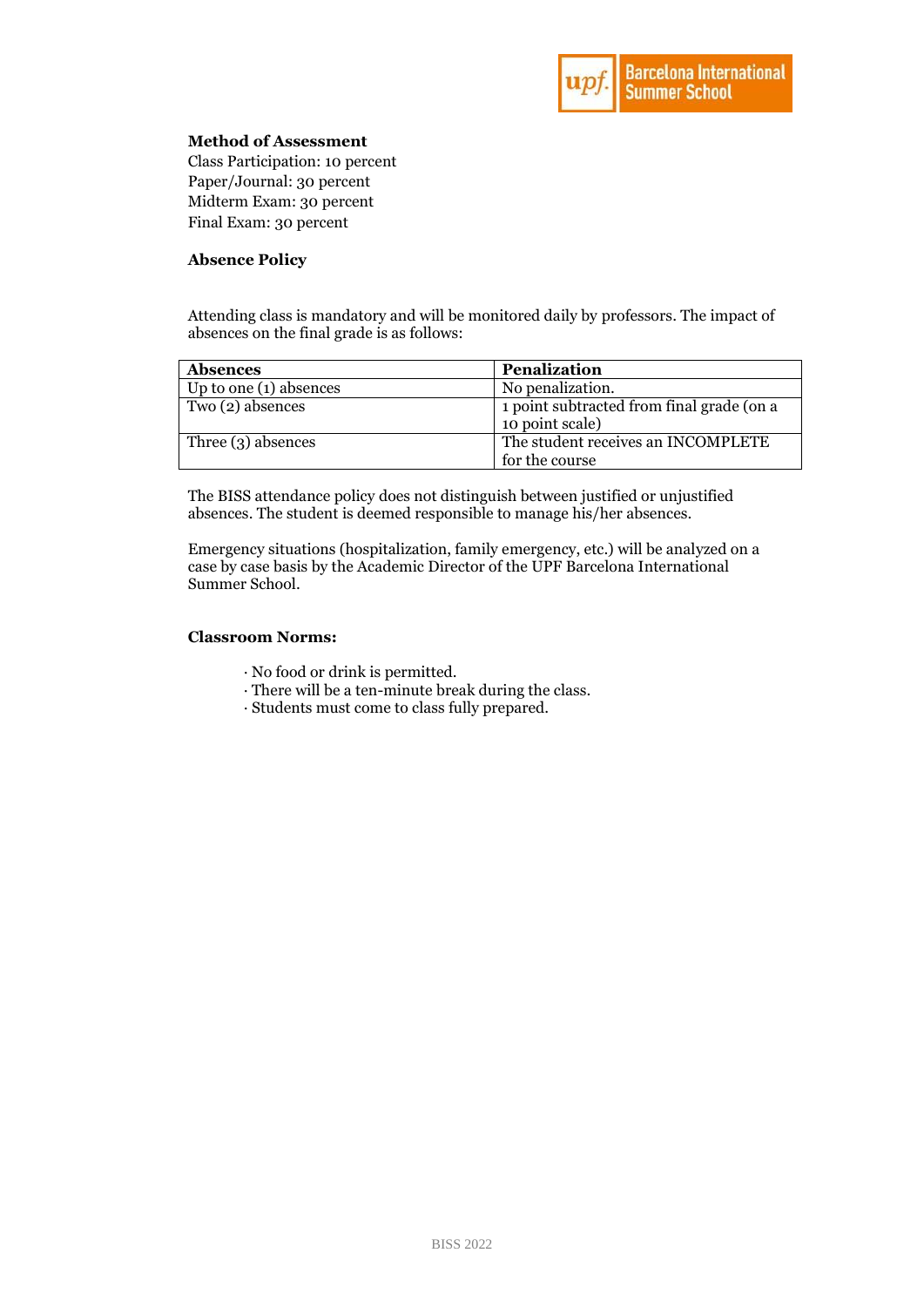

# **Method of Assessment**

Class Participation: 10 percent Paper/Journal: 30 percent Midterm Exam: 30 percent Final Exam: 30 percent

# **Absence Policy**

Attending class is mandatory and will be monitored daily by professors. The impact of absences on the final grade is as follows:

| <b>Absences</b>          | <b>Penalization</b>                                          |
|--------------------------|--------------------------------------------------------------|
| Up to one $(1)$ absences | No penalization.                                             |
| Two (2) absences         | 1 point subtracted from final grade (on a<br>10 point scale) |
| Three $(3)$ absences     | The student receives an INCOMPLETE                           |
|                          | for the course                                               |

The BISS attendance policy does not distinguish between justified or unjustified absences. The student is deemed responsible to manage his/her absences.

Emergency situations (hospitalization, family emergency, etc.) will be analyzed on a case by case basis by the Academic Director of the UPF Barcelona International Summer School.

# **Classroom Norms:**

- · No food or drink is permitted.
- · There will be a ten-minute break during the class.
- · Students must come to class fully prepared.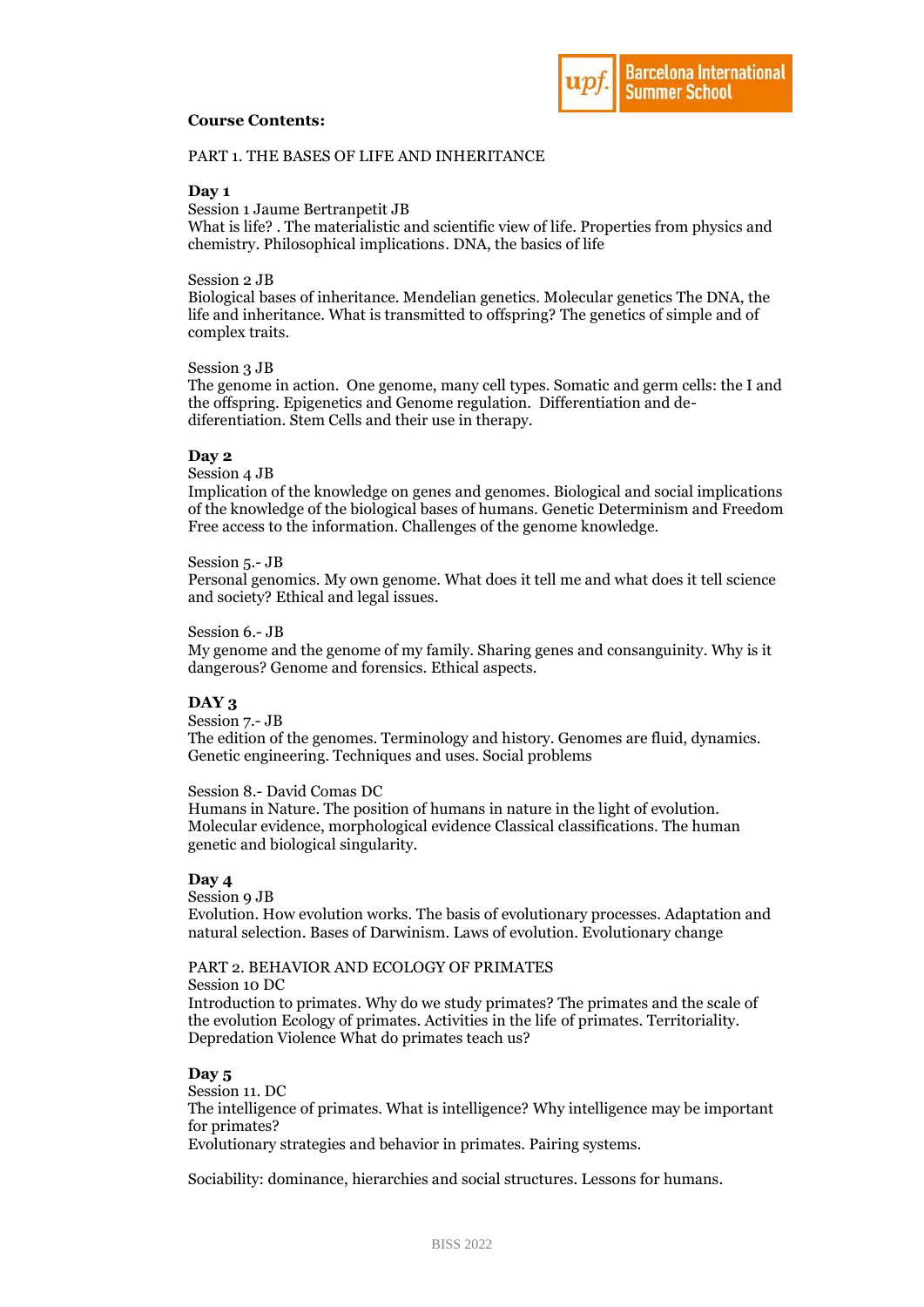# **Course Contents:**



PART 1. THE BASES OF LIFE AND INHERITANCE

#### **Day 1**

Session 1 Jaume Bertranpetit JB

What is life? . The materialistic and scientific view of life. Properties from physics and chemistry. Philosophical implications. DNA, the basics of life

# Session 2 JB

Biological bases of inheritance. Mendelian genetics. Molecular genetics The DNA, the life and inheritance. What is transmitted to offspring? The genetics of simple and of complex traits.

## Session 3 JB

The genome in action. One genome, many cell types. Somatic and germ cells: the I and the offspring. Epigenetics and Genome regulation. Differentiation and dediferentiation. Stem Cells and their use in therapy.

#### **Day 2**

Session 4 JB

Implication of the knowledge on genes and genomes. Biological and social implications of the knowledge of the biological bases of humans. Genetic Determinism and Freedom Free access to the information. Challenges of the genome knowledge.

Session 5.- JB

Personal genomics. My own genome. What does it tell me and what does it tell science and society? Ethical and legal issues.

#### Session 6.- JB

My genome and the genome of my family. Sharing genes and consanguinity. Why is it dangerous? Genome and forensics. Ethical aspects.

# **DAY 3**

Session 7.- JB The edition of the genomes. Terminology and history. Genomes are fluid, dynamics. Genetic engineering. Techniques and uses. Social problems

#### Session 8.- David Comas DC

Humans in Nature. The position of humans in nature in the light of evolution. Molecular evidence, morphological evidence Classical classifications. The human genetic and biological singularity.

# **Day 4**

Session **0** JB

Evolution. How evolution works. The basis of evolutionary processes. Adaptation and natural selection. Bases of Darwinism. Laws of evolution. Evolutionary change

# PART 2. BEHAVIOR AND ECOLOGY OF PRIMATES

Session 10 DC

Introduction to primates. Why do we study primates? The primates and the scale of the evolution Ecology of primates. Activities in the life of primates. Territoriality. Depredation Violence What do primates teach us?

#### **Day 5**

Session 11. DC The intelligence of primates. What is intelligence? Why intelligence may be important for primates? Evolutionary strategies and behavior in primates. Pairing systems.

Sociability: dominance, hierarchies and social structures. Lessons for humans.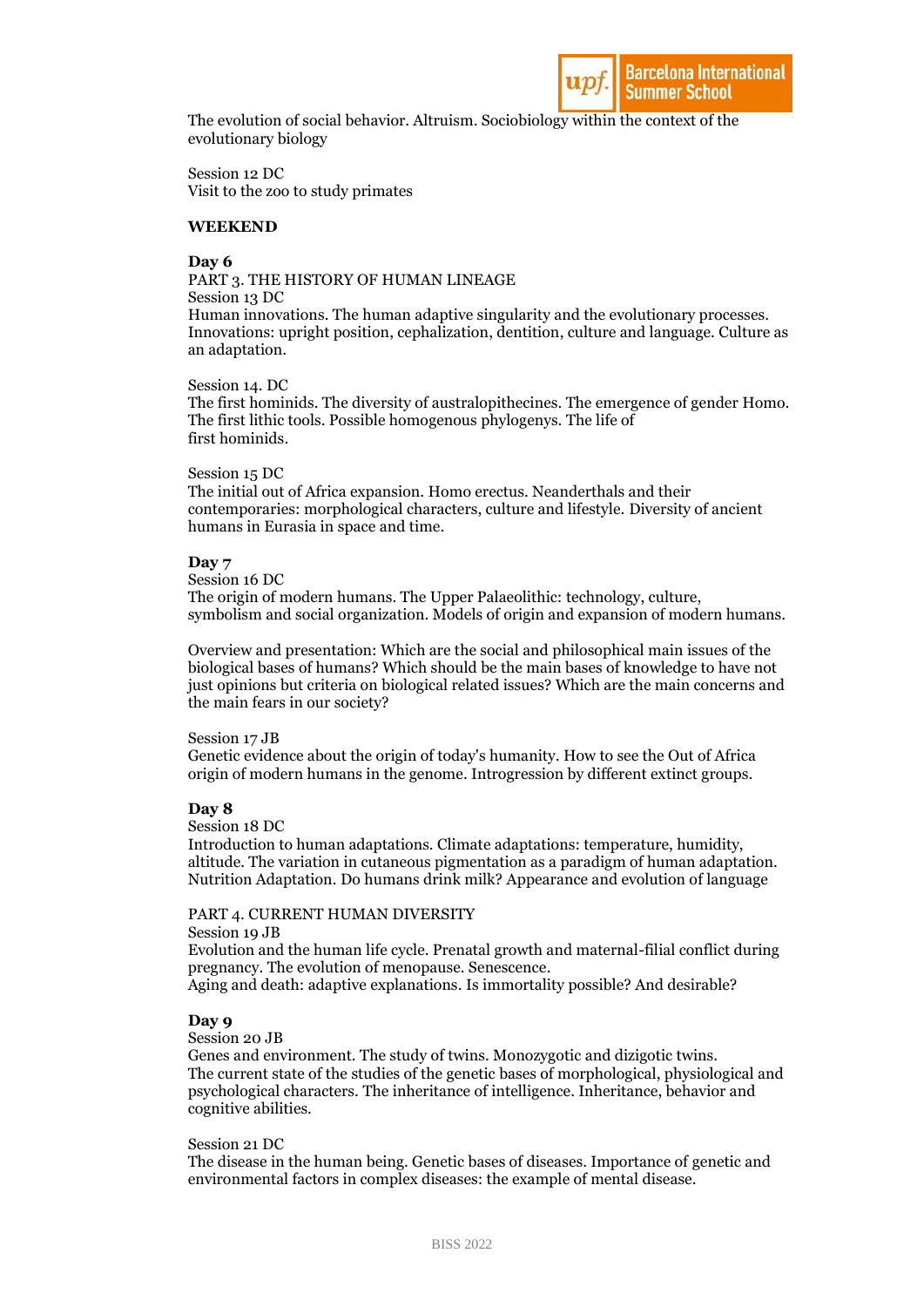

The evolution of social behavior. Altruism. Sociobiology within the context of the evolutionary biology

Session 12 DC Visit to the zoo to study primates

# **WEEKEND**

# **Day 6**

PART 3. THE HISTORY OF HUMAN LINEAGE Session 13 DC Human innovations. The human adaptive singularity and the evolutionary processes. Innovations: upright position, cephalization, dentition, culture and language. Culture as an adaptation.

Session 14. DC

The first hominids. The diversity of australopithecines. The emergence of gender Homo. The first lithic tools. Possible homogenous phylogenys. The life of first hominids.

#### Session 15 DC

The initial out of Africa expansion. Homo erectus. Neanderthals and their contemporaries: morphological characters, culture and lifestyle. Diversity of ancient humans in Eurasia in space and time.

#### **Day 7**

Session 16 DC

The origin of modern humans. The Upper Palaeolithic: technology, culture, symbolism and social organization. Models of origin and expansion of modern humans.

Overview and presentation: Which are the social and philosophical main issues of the biological bases of humans? Which should be the main bases of knowledge to have not just opinions but criteria on biological related issues? Which are the main concerns and the main fears in our society?

#### Session 17 JB

Genetic evidence about the origin of today's humanity. How to see the Out of Africa origin of modern humans in the genome. Introgression by different extinct groups.

## **Day 8**

Session 18 DC

Introduction to human adaptations. Climate adaptations: temperature, humidity, altitude. The variation in cutaneous pigmentation as a paradigm of human adaptation. Nutrition Adaptation. Do humans drink milk? Appearance and evolution of language

## PART 4. CURRENT HUMAN DIVERSITY

Session 19 JB

Evolution and the human life cycle. Prenatal growth and maternal-filial conflict during pregnancy. The evolution of menopause. Senescence.

# Aging and death: adaptive explanations. Is immortality possible? And desirable?

# **Day 9**

Session 20 JB

Genes and environment. The study of twins. Monozygotic and dizigotic twins. The current state of the studies of the genetic bases of morphological, physiological and psychological characters. The inheritance of intelligence. Inheritance, behavior and cognitive abilities.

#### Session 21 DC

The disease in the human being. Genetic bases of diseases. Importance of genetic and environmental factors in complex diseases: the example of mental disease.